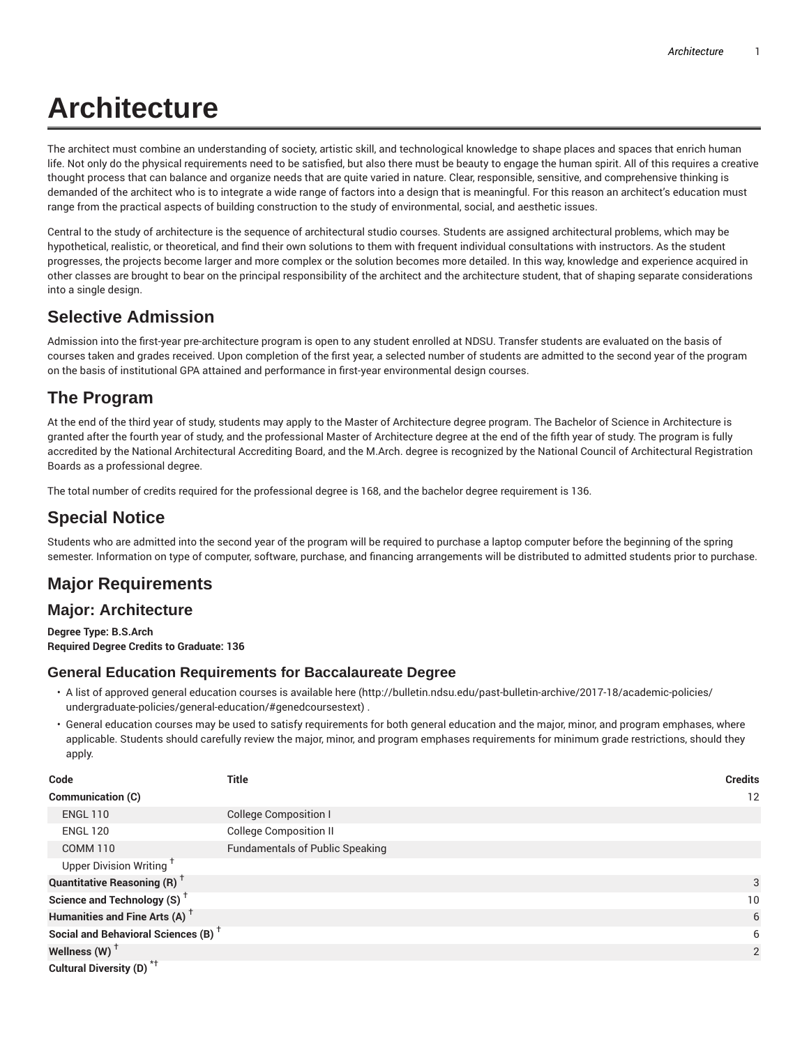# **Architecture**

The architect must combine an understanding of society, artistic skill, and technological knowledge to shape places and spaces that enrich human life. Not only do the physical requirements need to be satisfied, but also there must be beauty to engage the human spirit. All of this requires a creative thought process that can balance and organize needs that are quite varied in nature. Clear, responsible, sensitive, and comprehensive thinking is demanded of the architect who is to integrate a wide range of factors into a design that is meaningful. For this reason an architect's education must range from the practical aspects of building construction to the study of environmental, social, and aesthetic issues.

Central to the study of architecture is the sequence of architectural studio courses. Students are assigned architectural problems, which may be hypothetical, realistic, or theoretical, and find their own solutions to them with frequent individual consultations with instructors. As the student progresses, the projects become larger and more complex or the solution becomes more detailed. In this way, knowledge and experience acquired in other classes are brought to bear on the principal responsibility of the architect and the architecture student, that of shaping separate considerations into a single design.

## **Selective Admission**

Admission into the first-year pre-architecture program is open to any student enrolled at NDSU. Transfer students are evaluated on the basis of courses taken and grades received. Upon completion of the first year, a selected number of students are admitted to the second year of the program on the basis of institutional GPA attained and performance in first-year environmental design courses.

## **The Program**

At the end of the third year of study, students may apply to the Master of Architecture degree program. The Bachelor of Science in Architecture is granted after the fourth year of study, and the professional Master of Architecture degree at the end of the fifth year of study. The program is fully accredited by the National Architectural Accrediting Board, and the M.Arch. degree is recognized by the National Council of Architectural Registration Boards as a professional degree.

The total number of credits required for the professional degree is 168, and the bachelor degree requirement is 136.

## **Special Notice**

Students who are admitted into the second year of the program will be required to purchase a laptop computer before the beginning of the spring semester. Information on type of computer, software, purchase, and financing arrangements will be distributed to admitted students prior to purchase.

## **Major Requirements**

## **Major: Architecture**

**Degree Type: B.S.Arch Required Degree Credits to Graduate: 136**

### **General Education Requirements for Baccalaureate Degree**

- A list of approved general education courses is available here (http://bulletin.ndsu.edu/past-bulletin-archive/2017-18/academic-policies/ undergraduate-policies/general-education/#genedcoursestext) .
- General education courses may be used to satisfy requirements for both general education and the major, minor, and program emphases, where applicable. Students should carefully review the major, minor, and program emphases requirements for minimum grade restrictions, should they apply.

| Code                                            | <b>Title</b>                           | <b>Credits</b> |
|-------------------------------------------------|----------------------------------------|----------------|
| Communication (C)                               |                                        | 12             |
| <b>ENGL 110</b>                                 | <b>College Composition I</b>           |                |
| <b>ENGL 120</b>                                 | <b>College Composition II</b>          |                |
| <b>COMM 110</b>                                 | <b>Fundamentals of Public Speaking</b> |                |
| Upper Division Writing <sup>†</sup>             |                                        |                |
| <b>Quantitative Reasoning (R)</b> <sup>†</sup>  |                                        | 3              |
| Science and Technology $(S)$ <sup>+</sup>       |                                        | 10             |
| Humanities and Fine Arts (A) <sup>+</sup>       |                                        | 6              |
| Social and Behavioral Sciences (B) <sup>+</sup> |                                        | 6              |
| Wellness $(W)$ <sup>†</sup>                     |                                        | 2              |
| Cultural Diversity (D) <sup>*†</sup>            |                                        |                |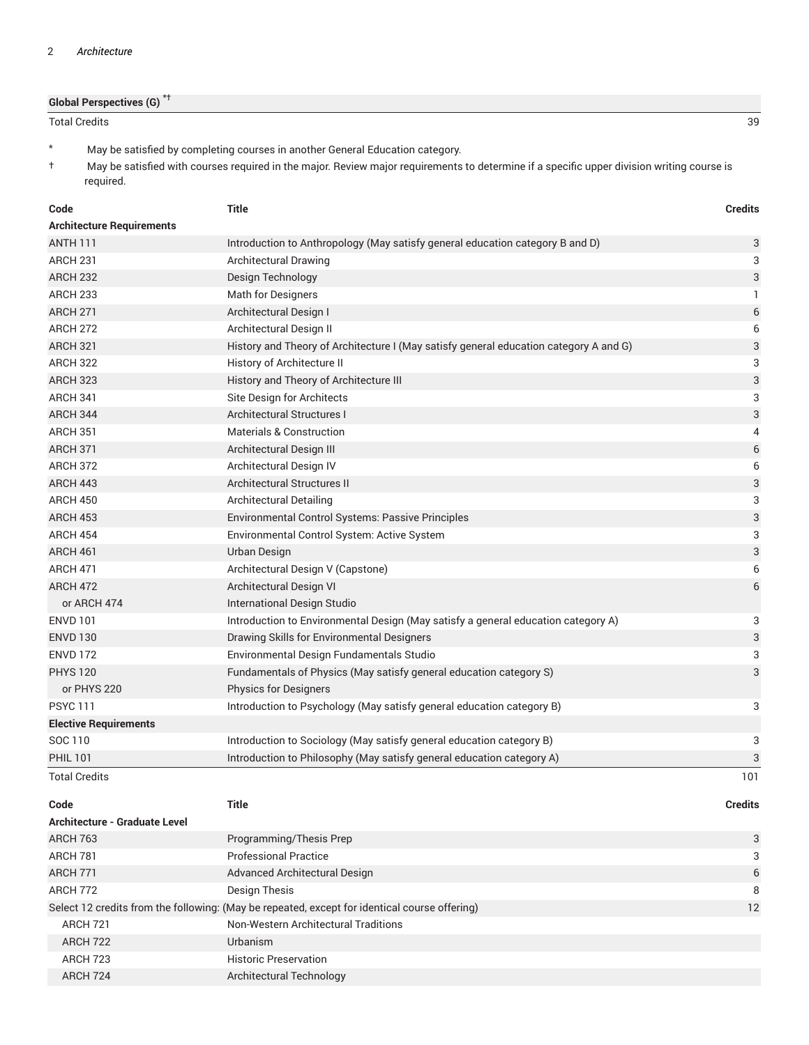#### **Global Perspectives (G)** \*†

Total Credits 39

- \* May be satisfied by completing courses in another General Education category.
- † May be satisfied with courses required in the major. Review major requirements to determine if a specific upper division writing course is required.

| Code                             | <b>Title</b>                                                                          | <b>Credits</b> |
|----------------------------------|---------------------------------------------------------------------------------------|----------------|
| <b>Architecture Requirements</b> |                                                                                       |                |
| <b>ANTH 111</b>                  | Introduction to Anthropology (May satisfy general education category B and D)         | 3              |
| <b>ARCH 231</b>                  | Architectural Drawing                                                                 | 3              |
| <b>ARCH 232</b>                  | Design Technology                                                                     | 3              |
| <b>ARCH 233</b>                  | <b>Math for Designers</b>                                                             | 1              |
| <b>ARCH 271</b>                  | Architectural Design I                                                                | 6              |
| <b>ARCH 272</b>                  | Architectural Design II                                                               | 6              |
| <b>ARCH 321</b>                  | History and Theory of Architecture I (May satisfy general education category A and G) | 3              |
| ARCH 322                         | History of Architecture II                                                            | 3              |
| <b>ARCH 323</b>                  | History and Theory of Architecture III                                                | 3              |
| ARCH 341                         | Site Design for Architects                                                            | 3              |
| ARCH 344                         | Architectural Structures I                                                            | 3              |
| <b>ARCH 351</b>                  | <b>Materials &amp; Construction</b>                                                   | 4              |
| <b>ARCH 371</b>                  | Architectural Design III                                                              | 6              |
| <b>ARCH 372</b>                  | Architectural Design IV                                                               | 6              |
| <b>ARCH 443</b>                  | Architectural Structures II                                                           | 3              |
| <b>ARCH 450</b>                  | <b>Architectural Detailing</b>                                                        | 3              |
| <b>ARCH 453</b>                  | Environmental Control Systems: Passive Principles                                     | 3              |
| <b>ARCH 454</b>                  | Environmental Control System: Active System                                           | 3              |
| <b>ARCH 461</b>                  | Urban Design                                                                          | 3              |
| <b>ARCH 471</b>                  | Architectural Design V (Capstone)                                                     | 6              |
| <b>ARCH 472</b>                  | Architectural Design VI                                                               | 6              |
| or ARCH 474                      | International Design Studio                                                           |                |
| <b>ENVD 101</b>                  | Introduction to Environmental Design (May satisfy a general education category A)     | 3              |
| <b>ENVD 130</b>                  | Drawing Skills for Environmental Designers                                            | 3              |
| <b>ENVD 172</b>                  | Environmental Design Fundamentals Studio                                              | 3              |
| <b>PHYS 120</b>                  | Fundamentals of Physics (May satisfy general education category S)                    | 3              |
| or PHYS 220                      | <b>Physics for Designers</b>                                                          |                |
| <b>PSYC111</b>                   | Introduction to Psychology (May satisfy general education category B)                 | 3              |
| <b>Elective Requirements</b>     |                                                                                       |                |
| SOC 110                          | Introduction to Sociology (May satisfy general education category B)                  | 3              |
| <b>PHIL 101</b>                  | Introduction to Philosophy (May satisfy general education category A)                 | 3              |
| <b>Total Credits</b>             |                                                                                       | 101            |

| Code                          | Title                                                                                         | <b>Credits</b> |
|-------------------------------|-----------------------------------------------------------------------------------------------|----------------|
| Architecture - Graduate Level |                                                                                               |                |
| <b>ARCH 763</b>               | Programming/Thesis Prep                                                                       | 3              |
| <b>ARCH 781</b>               | <b>Professional Practice</b>                                                                  | 3              |
| <b>ARCH 771</b>               | <b>Advanced Architectural Design</b>                                                          | 6              |
| ARCH 772                      | Design Thesis                                                                                 | 8              |
|                               | Select 12 credits from the following: (May be repeated, except for identical course offering) | 12             |
| <b>ARCH 721</b>               | Non-Western Architectural Traditions                                                          |                |
| <b>ARCH 722</b>               | Urbanism                                                                                      |                |
| <b>ARCH 723</b>               | <b>Historic Preservation</b>                                                                  |                |
| ARCH 724                      | Architectural Technology                                                                      |                |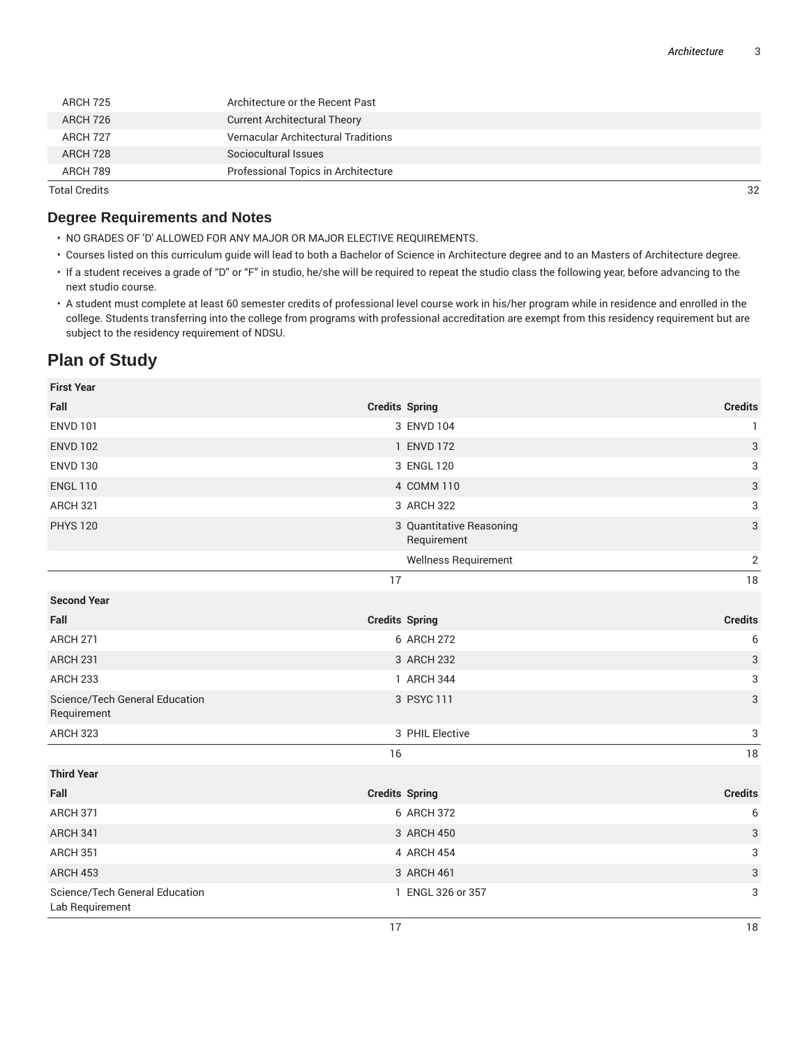| ARCH 725 | Architecture or the Recent Past     |
|----------|-------------------------------------|
| ARCH 726 | <b>Current Architectural Theory</b> |
| ARCH 727 | Vernacular Architectural Traditions |
| ARCH 728 | Sociocultural Issues                |
| ARCH 789 | Professional Topics in Architecture |
|          |                                     |

Total Credits 32

#### **Degree Requirements and Notes**

- NO GRADES OF 'D' ALLOWED FOR ANY MAJOR OR MAJOR ELECTIVE REQUIREMENTS.
- Courses listed on this curriculum guide will lead to both a Bachelor of Science in Architecture degree and to an Masters of Architecture degree.
- If a student receives a grade of "D" or "F" in studio, he/she will be required to repeat the studio class the following year, before advancing to the next studio course.
- A student must complete at least 60 semester credits of professional level course work in his/her program while in residence and enrolled in the college. Students transferring into the college from programs with professional accreditation are exempt from this residency requirement but are subject to the residency requirement of NDSU.

# **Plan of Study**

| <b>First Year</b>                                 |                       |                                         |                           |
|---------------------------------------------------|-----------------------|-----------------------------------------|---------------------------|
| Fall                                              | <b>Credits Spring</b> |                                         | <b>Credits</b>            |
| <b>ENVD 101</b>                                   |                       | 3 ENVD 104                              | 1                         |
| <b>ENVD 102</b>                                   |                       | 1 ENVD 172                              | 3                         |
| <b>ENVD 130</b>                                   |                       | 3 ENGL 120                              | 3                         |
| <b>ENGL 110</b>                                   |                       | 4 COMM 110                              | $\ensuremath{\mathsf{3}}$ |
| <b>ARCH 321</b>                                   |                       | 3 ARCH 322                              | 3                         |
| <b>PHYS 120</b>                                   |                       | 3 Quantitative Reasoning<br>Requirement | $\sqrt{3}$                |
|                                                   |                       | Wellness Requirement                    | $\sqrt{2}$                |
|                                                   | 17                    |                                         | 18                        |
| <b>Second Year</b>                                |                       |                                         |                           |
| Fall                                              | <b>Credits Spring</b> |                                         | <b>Credits</b>            |
| <b>ARCH 271</b>                                   |                       | 6 ARCH 272                              | 6                         |
| ARCH <sub>231</sub>                               |                       | 3 ARCH 232                              | 3                         |
| ARCH <sub>233</sub>                               |                       | 1 ARCH 344                              | 3                         |
| Science/Tech General Education<br>Requirement     |                       | 3 PSYC 111                              | $\ensuremath{\mathsf{3}}$ |
| ARCH 323                                          |                       | 3 PHIL Elective                         | 3                         |
|                                                   | 16                    |                                         | 18                        |
| <b>Third Year</b>                                 |                       |                                         |                           |
| Fall                                              | <b>Credits Spring</b> |                                         | <b>Credits</b>            |
| <b>ARCH 371</b>                                   |                       | 6 ARCH 372                              | 6                         |
| ARCH 341                                          |                       | 3 ARCH 450                              | $\ensuremath{\mathsf{3}}$ |
| <b>ARCH 351</b>                                   |                       | 4 ARCH 454                              | 3                         |
| ARCH 453                                          |                       | 3 ARCH 461                              | $\ensuremath{\mathsf{3}}$ |
| Science/Tech General Education<br>Lab Requirement |                       | 1 ENGL 326 or 357                       | 3                         |